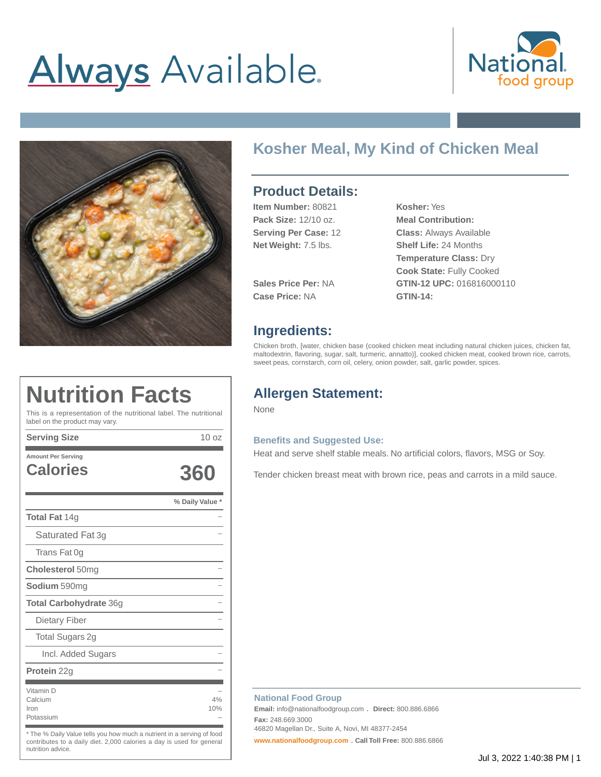# **Always** Available.





# **Kosher Meal, My Kind of Chicken Meal**

## **Product Details:**

| Item Number: 80821          | Kosher: Yes                     |
|-----------------------------|---------------------------------|
| Pack Size: 12/10 oz.        | <b>Meal Contribution:</b>       |
| <b>Serving Per Case: 12</b> | <b>Class: Always Available</b>  |
| Net Weight: 7.5 lbs.        | <b>Shelf Life: 24 Months</b>    |
|                             | <b>Temperature Class: Dry</b>   |
|                             | <b>Cook State: Fully Cooked</b> |
| <b>Sales Price Per: NA</b>  | GTIN-12 UPC: 016816000110       |

**Case Price:** NA **GTIN-14:**

# **Ingredients:**

Chicken broth, [water, chicken base (cooked chicken meat including natural chicken juices, chicken fat, maltodextrin, flavoring, sugar, salt, turmeric, annatto)], cooked chicken meat, cooked brown rice, carrots, sweet peas, cornstarch, corn oil, celery, onion powder, salt, garlic powder, spices.

# **Allergen Statement:**

None

#### **Benefits and Suggested Use:**

Heat and serve shelf stable meals. No artificial colors, flavors, MSG or Soy.

Tender chicken breast meat with brown rice, peas and carrots in a mild sauce.

| <b>Calories</b>                           | 360             |
|-------------------------------------------|-----------------|
|                                           | % Daily Value * |
| <b>Total Fat 14g</b>                      |                 |
| Saturated Fat 3g                          |                 |
| Trans Fat 0g                              |                 |
| <b>Cholesterol 50mg</b>                   |                 |
| <b>Sodium</b> 590mg                       |                 |
| <b>Total Carbohydrate 36g</b>             |                 |
| Dietary Fiber                             |                 |
| Total Sugars 2g                           |                 |
| Incl. Added Sugars                        |                 |
| <b>Protein</b> 22g                        |                 |
| Vitamin D<br>Calcium<br>Iron<br>Potassium | 4%<br>10%       |

\* The % Daily Value tells you how much a nutrient in a serving of food contributes to a daily diet. 2,000 calories a day is used for general nutrition advice.

#### **National Food Group**

**Email:** info@nationalfoodgroup.com . **Direct:** 800.886.6866 **Fax:** 248.669.3000

46820 Magellan Dr., Suite A, Novi, MI 48377-2454

**[www.nationalfoodgroup.com](https://3450792.app.netsuite.com/www.nationalfoodgroup.com)** . **Call Toll Free:** 800.886.6866

# **Nutrition Facts**

This is a representation of the nutritional label. The nutritional label on the product may vary.

**Serving Size** 10 oz **Amount Per Serving**